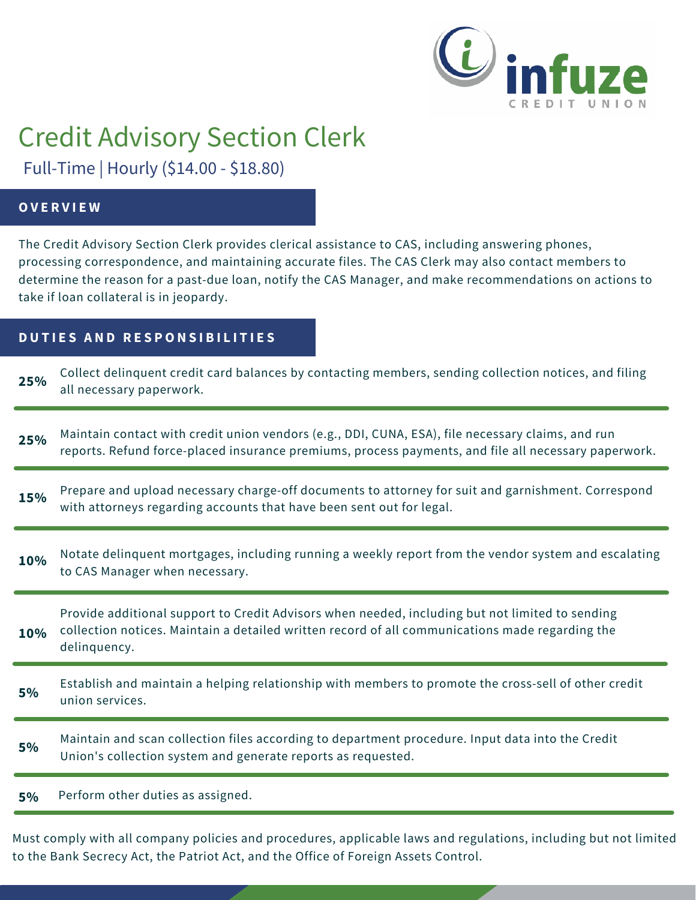

# Credit Advisory Section Clerk

Full-Time | Hourly (\$14.00 - \$18.80)

## **O V E R V I E W**

The Credit Advisory Section Clerk provides clerical assistance to CAS, including answering phones, processing correspondence, and maintaining accurate files. The CAS Clerk may also contact members to determine the reason for a past-due loan, notify the CAS Manager, and make recommendations on actions to take if loan collateral is in jeopardy.

# **DUTIES AND RESPONSIBILITIES**

| 25% | Collect delinquent credit card balances by contacting members, sending collection notices, and filing<br>all necessary paperwork.                                                                         |
|-----|-----------------------------------------------------------------------------------------------------------------------------------------------------------------------------------------------------------|
| 25% | Maintain contact with credit union vendors (e.g., DDI, CUNA, ESA), file necessary claims, and run<br>reports. Refund force-placed insurance premiums, process payments, and file all necessary paperwork. |
| 15% | Prepare and upload necessary charge-off documents to attorney for suit and garnishment. Correspond<br>with attorneys regarding accounts that have been sent out for legal.                                |
| 10% | Notate delinquent mortgages, including running a weekly report from the vendor system and escalating<br>to CAS Manager when necessary.                                                                    |
| 10% | Provide additional support to Credit Advisors when needed, including but not limited to sending<br>collection notices. Maintain a detailed written record of all communications made regarding the        |
|     | delinquency.                                                                                                                                                                                              |
| 5%  | Establish and maintain a helping relationship with members to promote the cross-sell of other credit<br>union services.                                                                                   |
| 5%  | Maintain and scan collection files according to department procedure. Input data into the Credit<br>Union's collection system and generate reports as requested.                                          |

Must comply with all company policies and procedures, applicable laws and regulations, including but not limited to the Bank Secrecy Act, the Patriot Act, and the Office of Foreign Assets Control.